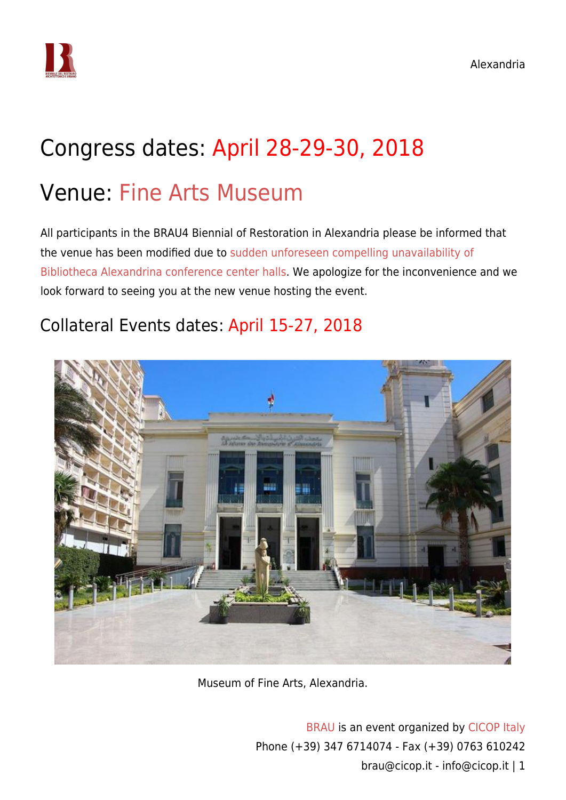

# Congress dates: April 28-29-30, 2018

### Venue: [Fine Arts Museum](https://www.google.com.eg/maps/place/Museums+of+Fine+Arts+Sector/@31.1951575,29.9147646,16z/data=!4m5!3m4!1s0x0:0xcb76b61c433554ef!8m2!3d31.1949035!4d29.9138282)

All participants in the BRAU4 Biennial of Restoration in Alexandria please be informed that the venue has been modified due to [sudden unforeseen compelling unavailability of](https://www.cicop.it/brau/wp-content/uploads/2018/04/2018-04-04.letter-from-Bibliotheca-Alexandrina.png) [Bibliotheca Alexandrina conference center halls](https://www.cicop.it/brau/wp-content/uploads/2018/04/2018-04-04.letter-from-Bibliotheca-Alexandrina.png). We apologize for the inconvenience and we look forward to seeing you at the new venue hosting the event.

### Collateral Events dates: April 15-27, 2018



Museum of Fine Arts, Alexandria.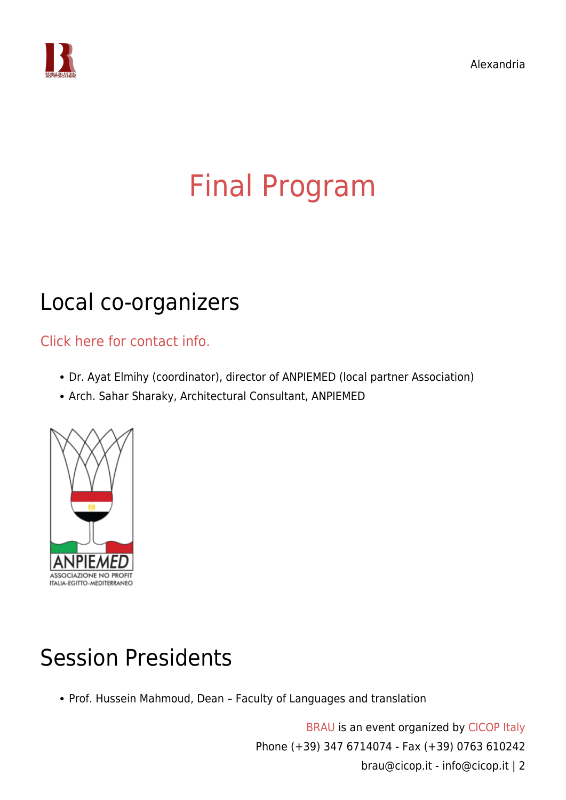

# [Final Program](https://www.cicop.it/brau/en/brau4-locations/alexandria/final-program/)

### Local co-organizers

[Click here for contact info.](https://www.cicop.it/brau/it/local-organizers-contact-info/)

- Dr. Ayat Elmihy (coordinator), director of ANPIEMED (local partner Association)
- Arch. Sahar Sharaky, Architectural Consultant, ANPIEMED



## Session Presidents

Prof. Hussein Mahmoud, Dean – Faculty of Languages and translation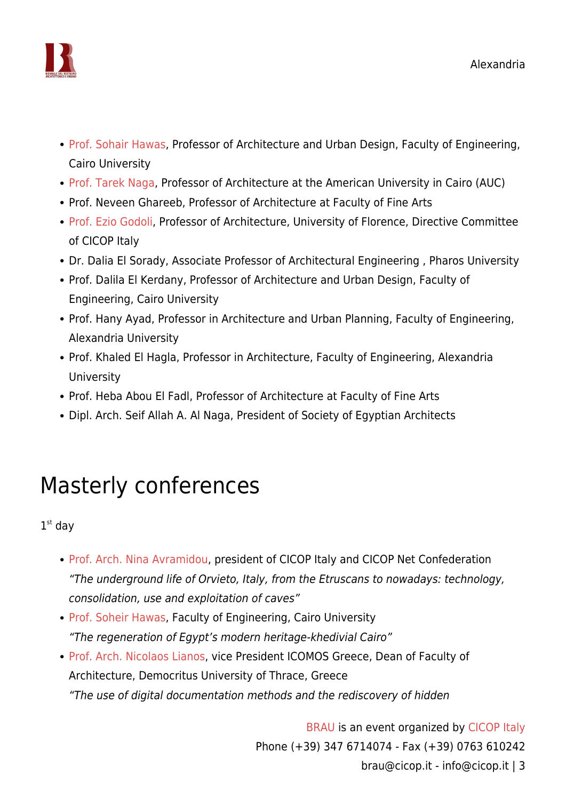

- [Prof. Sohair Hawas](https://www.cicop.it/brau/en/people/soheir-hawas/), Professor of Architecture and Urban Design, Faculty of Engineering, Cairo University
- [Prof. Tarek Naga,](https://www.cicop.it/brau/en/people/tarek-naga/) Professor of Architecture at the American University in Cairo (AUC)
- Prof. Neveen Ghareeb, Professor of Architecture at Faculty of Fine Arts
- [Prof. Ezio Godoli,](https://www.cicop.it/brau/en/people/ezio-godoli/) Professor of Architecture, University of Florence, Directive Committee of CICOP Italy
- Dr. Dalia El Sorady, Associate Professor of Architectural Engineering , Pharos University
- Prof. Dalila El Kerdany, Professor of Architecture and Urban Design, Faculty of Engineering, Cairo University
- Prof. Hany Ayad, Professor in Architecture and Urban Planning, Faculty of Engineering, Alexandria University
- Prof. Khaled El Hagla, Professor in Architecture, Faculty of Engineering, Alexandria University
- Prof. Heba Abou El Fadl, Professor of Architecture at Faculty of Fine Arts
- Dipl. Arch. Seif Allah A. Al Naga, President of Society of Egyptian Architects

## Masterly conferences

 $1<sup>st</sup>$  day

- [Prof. Arch. Nina Avramidou,](https://www.cicop.it/brau/en/people/nina-avramidou/) president of CICOP Italy and CICOP Net Confederation "The underground life of Orvieto, Italy, from the Etruscans to nowadays: technology, consolidation, use and exploitation of caves"
- [Prof. Soheir Hawas](https://www.cicop.it/brau/en/people/soheir-zaki-hawas/), Faculty of Engineering, Cairo University "The regeneration of Egypt's modern heritage-khedivial Cairo"
- [Prof. Arch. Nicolaos Lianos,](https://www.cicop.it/brau/en/people/nikolaos-lianos/) vice President ICOMOS Greece, Dean of Faculty of Architecture, Democritus University of Thrace, Greece "The use of digital documentation methods and the rediscovery of hidden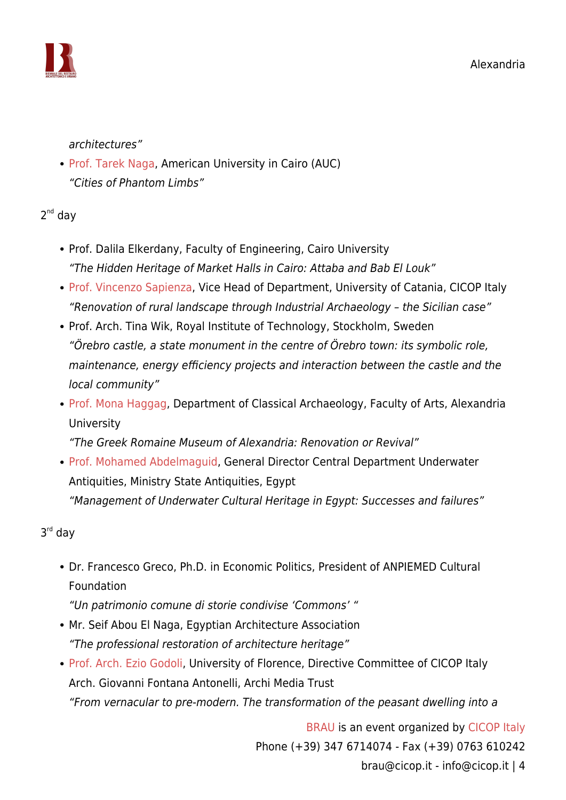

architectures"

• [Prof. Tarek Naga,](https://www.cicop.it/brau/en/people/tarek-naga/) American University in Cairo (AUC) "Cities of Phantom Limbs"

2<sup>nd</sup> day

- Prof. Dalila Elkerdany, Faculty of Engineering, Cairo University "The Hidden Heritage of Market Halls in Cairo: Attaba and Bab El Louk"
- [Prof. Vincenzo Sapienza](https://www.cicop.it/brau/en/people/vincenzo-sapienza/), Vice Head of Department, University of Catania, CICOP Italy "Renovation of rural landscape through Industrial Archaeology – the Sicilian case"
- Prof. Arch. Tina Wik, Royal Institute of Technology, Stockholm, Sweden "Örebro castle, a state monument in the centre of Örebro town: its symbolic role, maintenance, energy efficiency projects and interaction between the castle and the local community"
- [Prof. Mona Haggag](https://www.cicop.it/brau/en/people/mona-haggag/), Department of Classical Archaeology, Faculty of Arts, Alexandria **University**

"The Greek Romaine Museum of Alexandria: Renovation or Revival"

• [Prof. Mohamed Abdelmaguid,](https://independent.academia.edu/MohamedAbdelmaguid/CurriculumVitae) General Director Central Department Underwater Antiquities, Ministry State Antiquities, Egypt "Management of Underwater Cultural Heritage in Egypt: Successes and failures"

3 rd day

Dr. Francesco Greco, Ph.D. in Economic Politics, President of ANPIEMED Cultural Foundation

"Un patrimonio comune di storie condivise 'Commons' "

- Mr. Seif Abou El Naga, Egyptian Architecture Association "The professional restoration of architecture heritage"
- [Prof. Arch. Ezio Godoli](https://www.cicop.it/brau/en/people/ezio-godoli/), University of Florence, Directive Committee of CICOP Italy Arch. Giovanni Fontana Antonelli, Archi Media Trust "From vernacular to pre-modern. The transformation of the peasant dwelling into a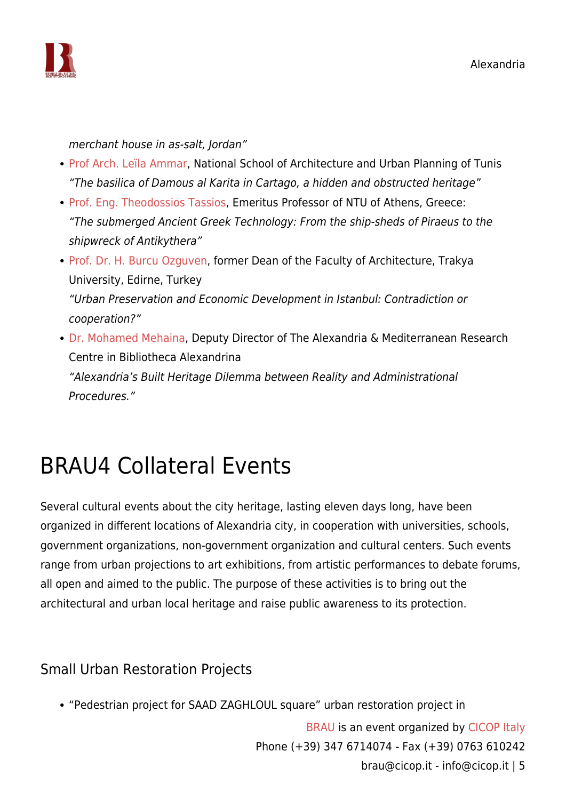

merchant house in as-salt, Jordan"

- [Prof Arch. Leïla Ammar,](https://www.cicop.it/brau/en/people/leila-ammar/) National School of Architecture and Urban Planning of Tunis "The basilica of Damous al Karita in Cartago, a hidden and obstructed heritage"
- [Prof. Eng. Theodossios Tassios,](https://www.cicop.it/brau/en/people/theodosios-tassios/) Emeritus Professor of NTU of Athens, Greece: "The submerged Ancient Greek Technology: From the ship-sheds of Piraeus to the shipwreck of Antikythera"
- [Prof. Dr. H. Burcu Ozguven,](https://www.cicop.it/brau/en/people/burcu-ozguven/) former Dean of the Faculty of Architecture, Trakya University, Edirne, Turkey "Urban Preservation and Economic Development in Istanbul: Contradiction or cooperation?"
- [Dr. Mohamed Mehaina,](https://www.cicop.it/brau/en/people/mohamed-mehaina/) Deputy Director of The Alexandria & Mediterranean Research Centre in Bibliotheca Alexandrina "Alexandria's Built Heritage Dilemma between Reality and Administrational Procedures."

# BRAU4 Collateral Events

Several cultural events about the city heritage, lasting eleven days long, have been organized in different locations of Alexandria city, in cooperation with universities, schools, government organizations, non-government organization and cultural centers. Such events range from urban projections to art exhibitions, from artistic performances to debate forums, all open and aimed to the public. The purpose of these activities is to bring out the architectural and urban local heritage and raise public awareness to its protection.

#### Small Urban Restoration Projects

"Pedestrian project for SAAD ZAGHLOUL square" urban restoration project in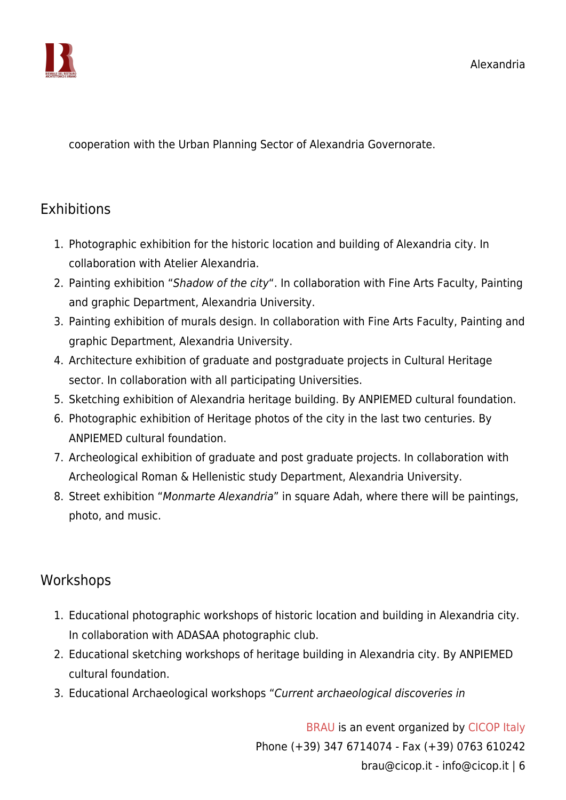

cooperation with the Urban Planning Sector of Alexandria Governorate.

### **Exhibitions**

- 1. Photographic exhibition for the historic location and building of Alexandria city. In collaboration with Atelier Alexandria.
- 2. Painting exhibition "Shadow of the city". In collaboration with Fine Arts Faculty, Painting and graphic Department, Alexandria University.
- 3. Painting exhibition of murals design. In collaboration with Fine Arts Faculty, Painting and graphic Department, Alexandria University.
- 4. Architecture exhibition of graduate and postgraduate projects in Cultural Heritage sector. In collaboration with all participating Universities.
- 5. Sketching exhibition of Alexandria heritage building. By ANPIEMED cultural foundation.
- 6. Photographic exhibition of Heritage photos of the city in the last two centuries. By ANPIEMED cultural foundation.
- 7. Archeological exhibition of graduate and post graduate projects. In collaboration with Archeological Roman & Hellenistic study Department, Alexandria University.
- 8. Street exhibition "Monmarte Alexandria" in square Adah, where there will be paintings, photo, and music.

#### Workshops

- 1. Educational photographic workshops of historic location and building in Alexandria city. In collaboration with ADASAA photographic club.
- 2. Educational sketching workshops of heritage building in Alexandria city. By ANPIEMED cultural foundation.
- 3. Educational Archaeological workshops "Current archaeological discoveries in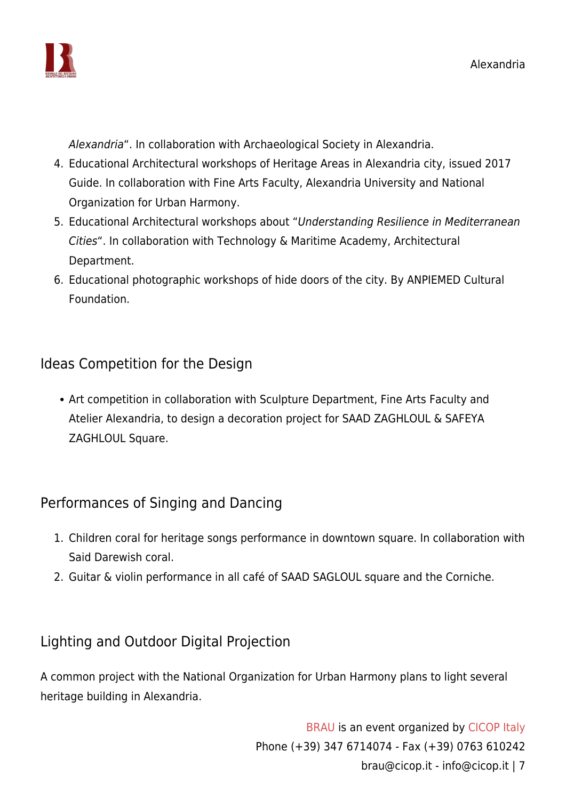

Alexandria". In collaboration with Archaeological Society in Alexandria.

- 4. Educational Architectural workshops of Heritage Areas in Alexandria city, issued 2017 Guide. In collaboration with Fine Arts Faculty, Alexandria University and National Organization for Urban Harmony.
- 5. Educational Architectural workshops about "Understanding Resilience in Mediterranean Cities". In collaboration with Technology & Maritime Academy, Architectural Department.
- 6. Educational photographic workshops of hide doors of the city. By ANPIEMED Cultural Foundation.

#### Ideas Competition for the Design

• Art competition in collaboration with Sculpture Department, Fine Arts Faculty and Atelier Alexandria, to design a decoration project for SAAD ZAGHLOUL & SAFEYA ZAGHLOUL Square.

#### Performances of Singing and Dancing

- 1. Children coral for heritage songs performance in downtown square. In collaboration with Said Darewish coral.
- 2. Guitar & violin performance in all café of SAAD SAGLOUL square and the Corniche.

### Lighting and Outdoor Digital Projection

A common project with the National Organization for Urban Harmony plans to light several heritage building in Alexandria.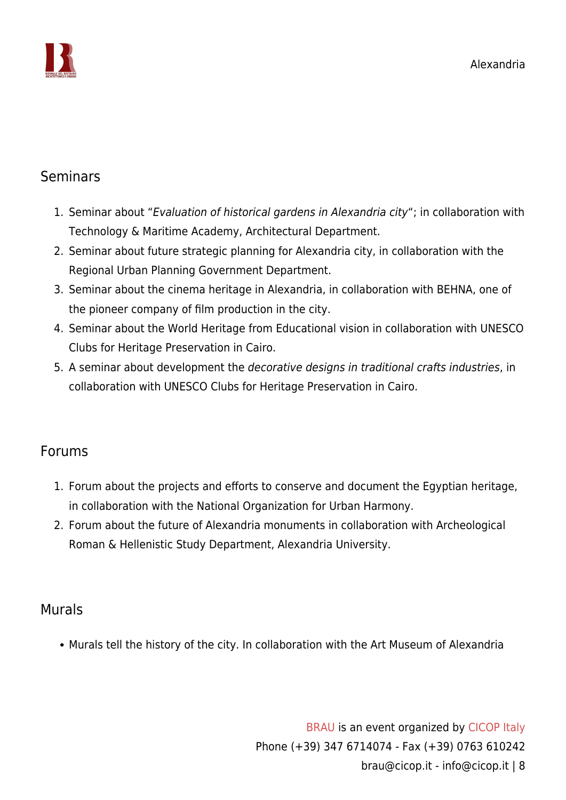

#### Seminars

- 1. Seminar about "Evaluation of historical gardens in Alexandria city"; in collaboration with Technology & Maritime Academy, Architectural Department.
- 2. Seminar about future strategic planning for Alexandria city, in collaboration with the Regional Urban Planning Government Department.
- 3. Seminar about the cinema heritage in Alexandria, in collaboration with BEHNA, one of the pioneer company of film production in the city.
- 4. Seminar about the World Heritage from Educational vision in collaboration with UNESCO Clubs for Heritage Preservation in Cairo.
- 5. A seminar about development the decorative designs in traditional crafts industries, in collaboration with UNESCO Clubs for Heritage Preservation in Cairo.

#### Forums

- 1. Forum about the projects and efforts to conserve and document the Egyptian heritage, in collaboration with the National Organization for Urban Harmony.
- 2. Forum about the future of Alexandria monuments in collaboration with Archeological Roman & Hellenistic Study Department, Alexandria University.

#### Murals

Murals tell the history of the city. In collaboration with the Art Museum of Alexandria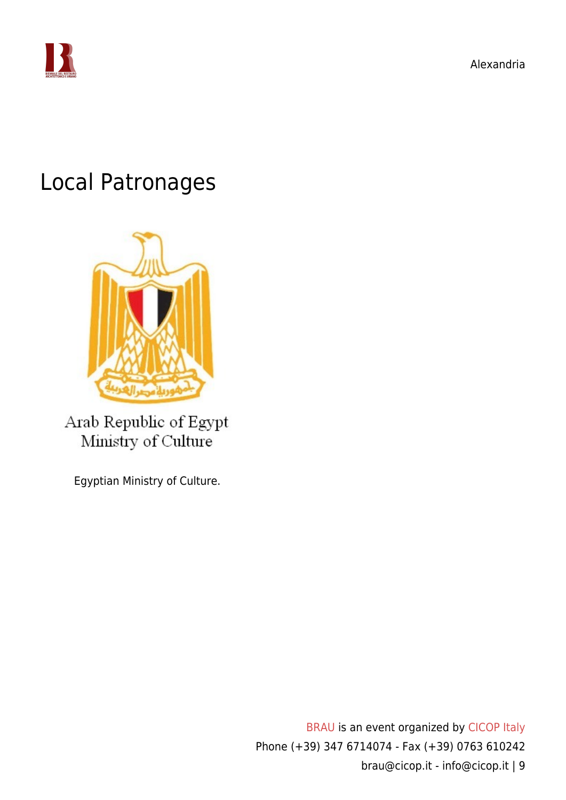

### Local Patronages



Arab Republic of Egypt Ministry of Culture

Egyptian Ministry of Culture.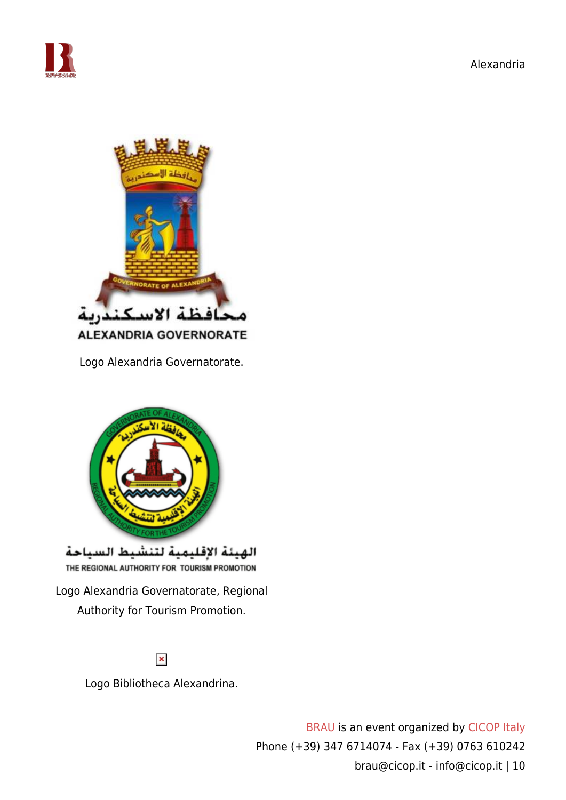



Logo Alexandria Governatorate.



#### $\pmb{\times}$

Logo Bibliotheca Alexandrina.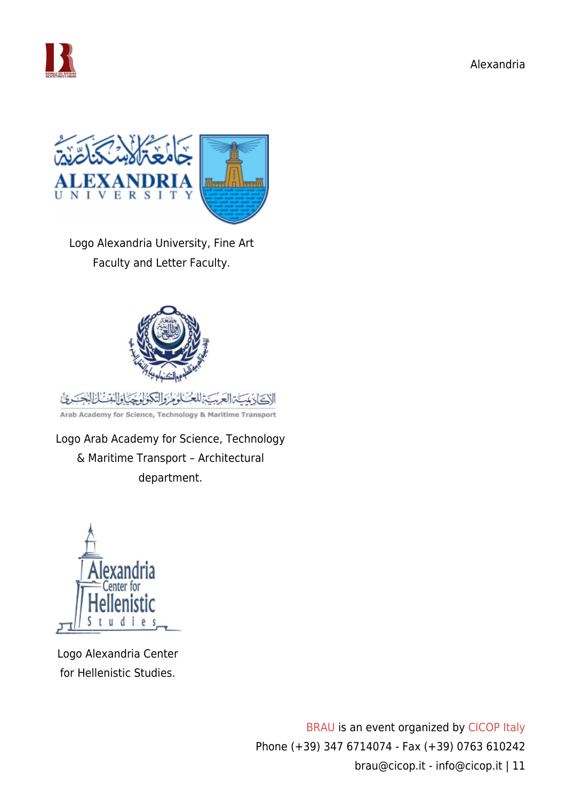

تكركأ



Logo Alexandria University, Fine Art Faculty and Letter Faculty.



Arab Academy for Science, Technology & Maritime Transport

Logo Arab Academy for Science, Technology & Maritime Transport – Architectural department.



Logo Alexandria Center for Hellenistic Studies.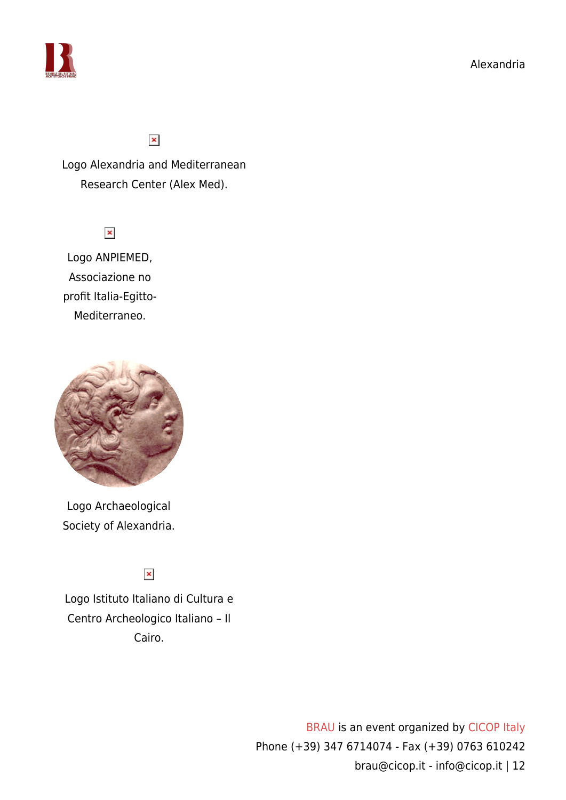



#### $\pmb{\times}$

Logo Alexandria and Mediterranean Research Center (Alex Med).

 $\pmb{\times}$ 

Logo ANPIEMED, Associazione no profit Italia-Egitto-Mediterraneo.



Logo Archaeological Society of Alexandria.

 $\pmb{\times}$ 

Logo Istituto Italiano di Cultura e Centro Archeologico Italiano – Il Cairo.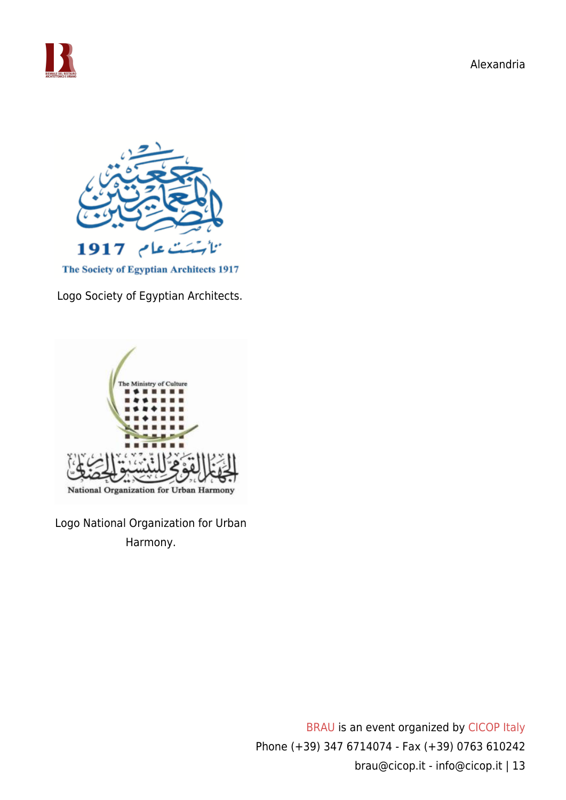



The Society of Egyptian Architects 1917

Logo Society of Egyptian Architects.



Logo National Organization for Urban Harmony.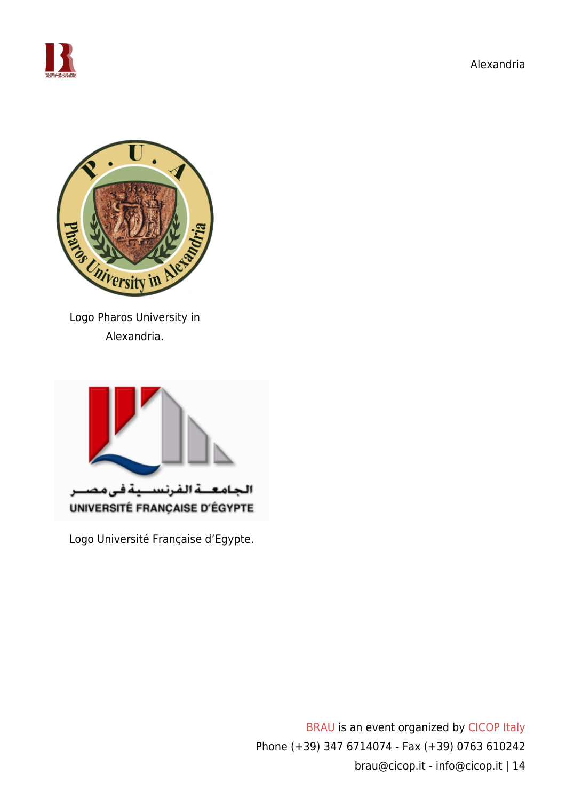





Logo Pharos University in Alexandria.



Logo Université Française d'Egypte.